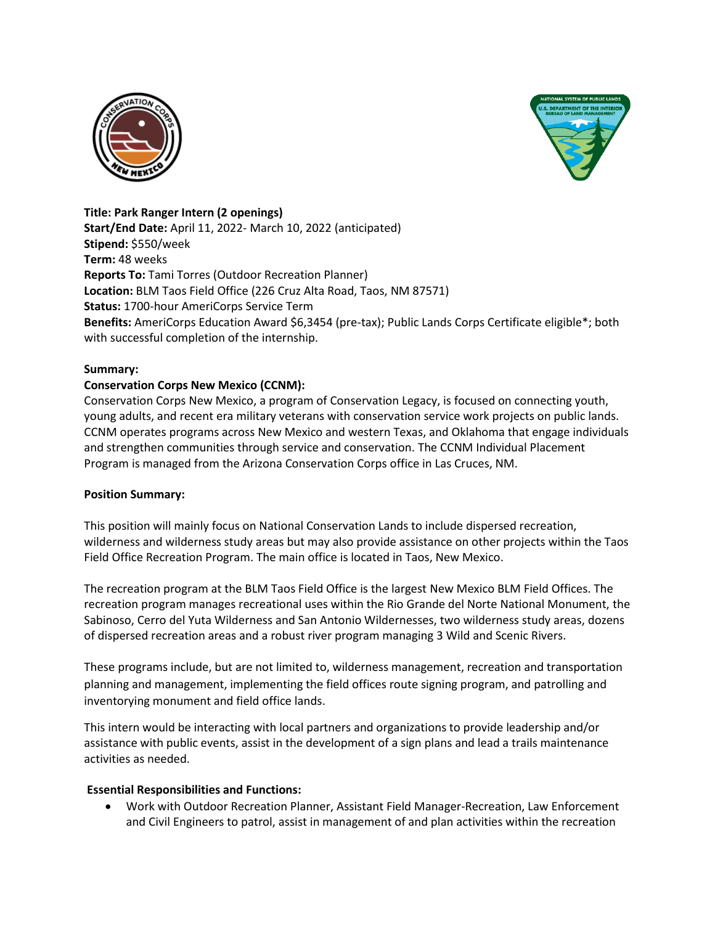



#### **Title: Park Ranger Intern (2 openings)**

**Start/End Date:** April 11, 2022- March 10, 2022 (anticipated) **Stipend:** \$550/week **Term:** 48 weeks **Reports To:** Tami Torres (Outdoor Recreation Planner) **Location:** BLM Taos Field Office (226 Cruz Alta Road, Taos, NM 87571) **Status:** 1700-hour AmeriCorps Service Term **Benefits:** AmeriCorps Education Award \$6,3454 (pre-tax); Public Lands Corps Certificate eligible\*; both with successful completion of the internship.

#### **Summary:**

## **Conservation Corps New Mexico (CCNM):**

Conservation Corps New Mexico, a program of Conservation Legacy, is focused on connecting youth, young adults, and recent era military veterans with conservation service work projects on public lands. CCNM operates programs across New Mexico and western Texas, and Oklahoma that engage individuals and strengthen communities through service and conservation. The CCNM Individual Placement Program is managed from the Arizona Conservation Corps office in Las Cruces, NM.

## **Position Summary:**

This position will mainly focus on National Conservation Lands to include dispersed recreation, wilderness and wilderness study areas but may also provide assistance on other projects within the Taos Field Office Recreation Program. The main office is located in Taos, New Mexico.

The recreation program at the BLM Taos Field Office is the largest New Mexico BLM Field Offices. The recreation program manages recreational uses within the Rio Grande del Norte National Monument, the Sabinoso, Cerro del Yuta Wilderness and San Antonio Wildernesses, two wilderness study areas, dozens of dispersed recreation areas and a robust river program managing 3 Wild and Scenic Rivers.

These programs include, but are not limited to, wilderness management, recreation and transportation planning and management, implementing the field offices route signing program, and patrolling and inventorying monument and field office lands.

This intern would be interacting with local partners and organizations to provide leadership and/or assistance with public events, assist in the development of a sign plans and lead a trails maintenance activities as needed.

#### **Essential Responsibilities and Functions:**

 Work with Outdoor Recreation Planner, Assistant Field Manager-Recreation, Law Enforcement and Civil Engineers to patrol, assist in management of and plan activities within the recreation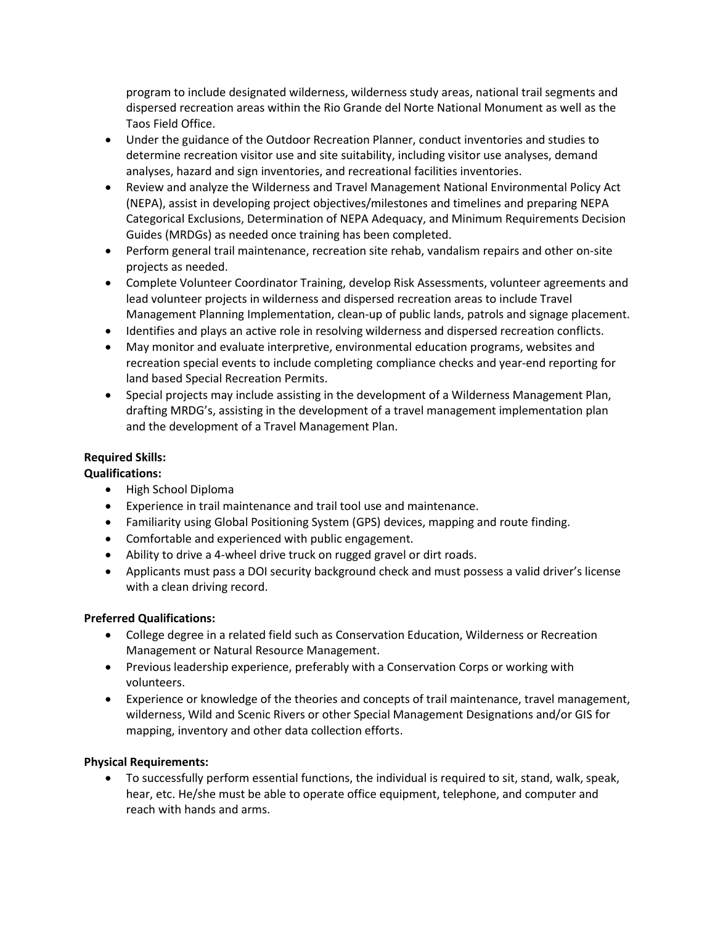program to include designated wilderness, wilderness study areas, national trail segments and dispersed recreation areas within the Rio Grande del Norte National Monument as well as the Taos Field Office.

- Under the guidance of the Outdoor Recreation Planner, conduct inventories and studies to determine recreation visitor use and site suitability, including visitor use analyses, demand analyses, hazard and sign inventories, and recreational facilities inventories.
- Review and analyze the Wilderness and Travel Management National Environmental Policy Act (NEPA), assist in developing project objectives/milestones and timelines and preparing NEPA Categorical Exclusions, Determination of NEPA Adequacy, and Minimum Requirements Decision Guides (MRDGs) as needed once training has been completed.
- Perform general trail maintenance, recreation site rehab, vandalism repairs and other on-site projects as needed.
- Complete Volunteer Coordinator Training, develop Risk Assessments, volunteer agreements and lead volunteer projects in wilderness and dispersed recreation areas to include Travel Management Planning Implementation, clean-up of public lands, patrols and signage placement.
- Identifies and plays an active role in resolving wilderness and dispersed recreation conflicts.
- May monitor and evaluate interpretive, environmental education programs, websites and recreation special events to include completing compliance checks and year-end reporting for land based Special Recreation Permits.
- Special projects may include assisting in the development of a Wilderness Management Plan, drafting MRDG's, assisting in the development of a travel management implementation plan and the development of a Travel Management Plan.

# **Required Skills:**

# **Qualifications:**

- High School Diploma
- Experience in trail maintenance and trail tool use and maintenance.
- Familiarity using Global Positioning System (GPS) devices, mapping and route finding.
- Comfortable and experienced with public engagement.
- Ability to drive a 4-wheel drive truck on rugged gravel or dirt roads.
- Applicants must pass a DOI security background check and must possess a valid driver's license with a clean driving record.

# **Preferred Qualifications:**

- College degree in a related field such as Conservation Education, Wilderness or Recreation Management or Natural Resource Management.
- Previous leadership experience, preferably with a Conservation Corps or working with volunteers.
- Experience or knowledge of the theories and concepts of trail maintenance, travel management, wilderness, Wild and Scenic Rivers or other Special Management Designations and/or GIS for mapping, inventory and other data collection efforts.

# **Physical Requirements:**

 To successfully perform essential functions, the individual is required to sit, stand, walk, speak, hear, etc. He/she must be able to operate office equipment, telephone, and computer and reach with hands and arms.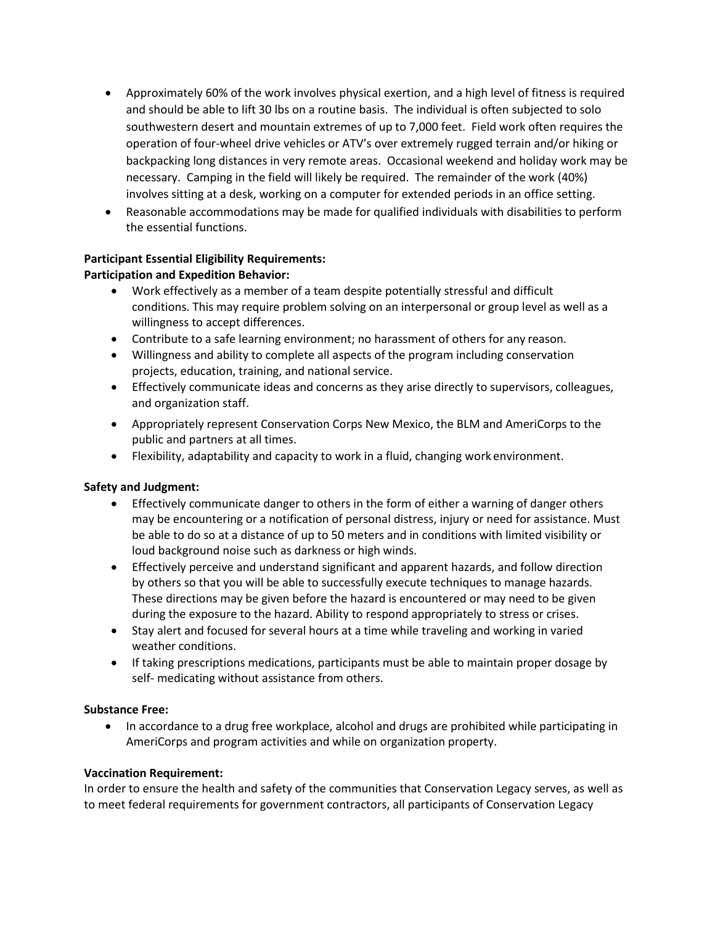- Approximately 60% of the work involves physical exertion, and a high level of fitness is required and should be able to lift 30 lbs on a routine basis. The individual is often subjected to solo southwestern desert and mountain extremes of up to 7,000 feet. Field work often requires the operation of four-wheel drive vehicles or ATV's over extremely rugged terrain and/or hiking or backpacking long distances in very remote areas. Occasional weekend and holiday work may be necessary. Camping in the field will likely be required. The remainder of the work (40%) involves sitting at a desk, working on a computer for extended periods in an office setting.
- Reasonable accommodations may be made for qualified individuals with disabilities to perform the essential functions.

## **Participant Essential Eligibility Requirements:**

## **Participation and Expedition Behavior:**

- Work effectively as a member of a team despite potentially stressful and difficult conditions. This may require problem solving on an interpersonal or group level as well as a willingness to accept differences.
- Contribute to a safe learning environment; no harassment of others for any reason.
- Willingness and ability to complete all aspects of the program including conservation projects, education, training, and national service.
- Effectively communicate ideas and concerns as they arise directly to supervisors, colleagues, and organization staff.
- Appropriately represent Conservation Corps New Mexico, the BLM and AmeriCorps to the public and partners at all times.
- Flexibility, adaptability and capacity to work in a fluid, changing work environment.

## **Safety and Judgment:**

- Effectively communicate danger to others in the form of either a warning of danger others may be encountering or a notification of personal distress, injury or need for assistance. Must be able to do so at a distance of up to 50 meters and in conditions with limited visibility or loud background noise such as darkness or high winds.
- Effectively perceive and understand significant and apparent hazards, and follow direction by others so that you will be able to successfully execute techniques to manage hazards. These directions may be given before the hazard is encountered or may need to be given during the exposure to the hazard. Ability to respond appropriately to stress or crises.
- Stay alert and focused for several hours at a time while traveling and working in varied weather conditions.
- If taking prescriptions medications, participants must be able to maintain proper dosage by self- medicating without assistance from others.

## **Substance Free:**

• In accordance to a drug free workplace, alcohol and drugs are prohibited while participating in AmeriCorps and program activities and while on organization property.

## **Vaccination Requirement:**

In order to ensure the health and safety of the communities that Conservation Legacy serves, as well as to meet federal requirements for government contractors, all participants of Conservation Legacy